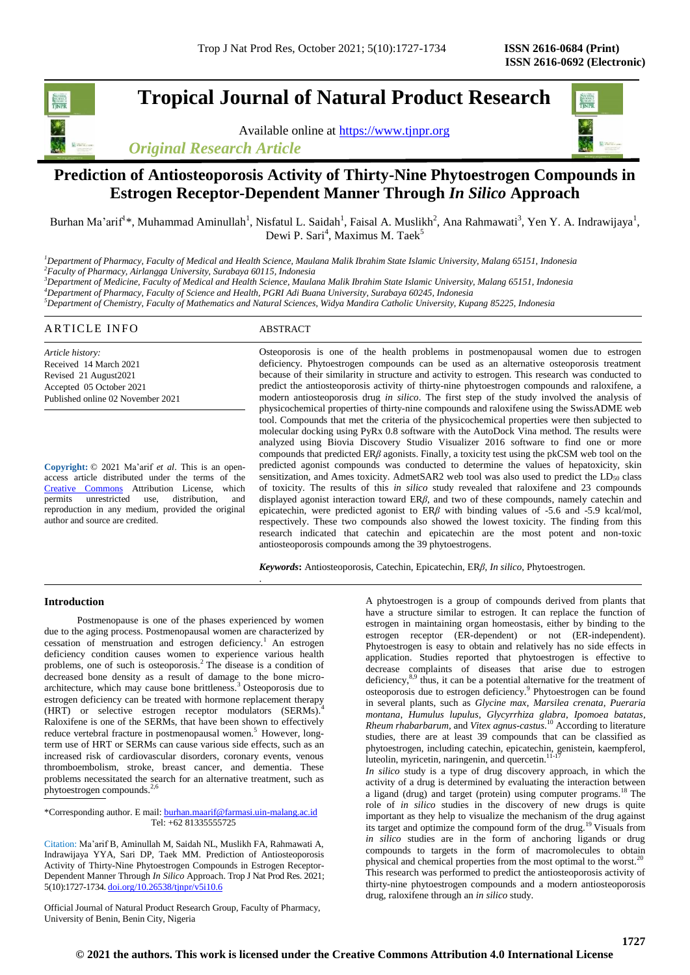# **Tropical Journal of Natural Product Research**

Available online at [https://www.tjnpr.org](https://www.tjnpr.org/) *Original Research Article*



# **Prediction of Antiosteoporosis Activity of Thirty-Nine Phytoestrogen Compounds in Estrogen Receptor-Dependent Manner Through** *In Silico* **Approach**

Burhan Ma'arif<sup>1\*</sup>, Muhammad Aminullah<sup>1</sup>, Nisfatul L. Saidah<sup>1</sup>, Faisal A. Muslikh<sup>2</sup>, Ana Rahmawati<sup>3</sup>, Yen Y. A. Indrawijaya<sup>1</sup>, Dewi P. Sari<sup>4</sup>, Maximus M. Taek<sup>5</sup>

*<sup>1</sup>Department of Pharmacy, Faculty of Medical and Health Science, Maulana Malik Ibrahim State Islamic University, Malang 65151, Indonesia <sup>2</sup>Faculty of Pharmacy, Airlangga University, Surabaya 60115, Indonesia <sup>3</sup>Department of Medicine, Faculty of Medical and Health Science, Maulana Malik Ibrahim State Islamic University, Malang 65151, Indonesia*

*<sup>4</sup>Department of Pharmacy, Faculty of Science and Health, PGRI Adi Buana University, Surabaya 60245, Indonesia*

.

*<sup>5</sup>Department of Chemistry, Faculty of Mathematics and Natural Sciences, Widya Mandira Catholic University, Kupang 85225, Indonesia*

#### ARTICLE INFO ABSTRACT *Article history:* Received 14 March 2021 Revised 21 August2021 Accepted 05 October 2021 Published online 02 November 2021 Osteoporosis is one of the health problems in postmenopausal women due to estrogen deficiency. Phytoestrogen compounds can be used as an alternative osteoporosis treatment because of their similarity in structure and activity to estrogen. This research was conducted to predict the antiosteoporosis activity of thirty-nine phytoestrogen compounds and raloxifene, a

**Copyright:** © 2021 Ma'arif *et al*. This is an openaccess article distributed under the terms of the [Creative Commons](https://creativecommons.org/licenses/by/4.0/) Attribution License, which permits unrestricted use, distribution, and reproduction in any medium, provided the original author and source are credited.

modern antiosteoporosis drug *in silico*. The first step of the study involved the analysis of physicochemical properties of thirty-nine compounds and raloxifene using the SwissADME web tool. Compounds that met the criteria of the physicochemical properties were then subjected to molecular docking using PyRx 0.8 software with the AutoDock Vina method. The results were analyzed using Biovia Discovery Studio Visualizer 2016 software to find one or more compounds that predicted ER*β* agonists. Finally, a toxicity test using the pkCSM web tool on the predicted agonist compounds was conducted to determine the values of hepatoxicity, skin sensitization, and Ames toxicity. AdmetSAR2 web tool was also used to predict the  $LD_{50}$  class of toxicity. The results of this *in silico* study revealed that raloxifene and 23 compounds displayed agonist interaction toward ER*β*, and two of these compounds, namely catechin and epicatechin, were predicted agonist to ER*β* with binding values of -5.6 and -5.9 kcal/mol, respectively. These two compounds also showed the lowest toxicity. The finding from this research indicated that catechin and epicatechin are the most potent and non-toxic antiosteoporosis compounds among the 39 phytoestrogens.

*Keywords***:** Antiosteoporosis, Catechin, Epicatechin, ER*β*, *In silico,* Phytoestrogen.

# **Introduction**

Postmenopause is one of the phases experienced by women due to the aging process. Postmenopausal women are characterized by cessation of menstruation and estrogen deficiency.<sup>1</sup> An estrogen deficiency condition causes women to experience various health problems, one of such is osteoporosis.<sup>2</sup> The disease is a condition of decreased bone density as a result of damage to the bone microarchitecture, which may cause bone brittleness.<sup>3</sup>Osteoporosis due to estrogen deficiency can be treated with hormone replacement therapy (HRT) or selective estrogen receptor modulators (SERMs). Raloxifene is one of the SERMs, that have been shown to effectively reduce vertebral fracture in postmenopausal women.<sup>5</sup> However, longterm use of HRT or SERMs can cause various side effects, such as an increased risk of cardiovascular disorders, coronary events, venous thromboembolism, stroke, breast cancer, and dementia. These problems necessitated the search for an alternative treatment, such as phytoestrogen compounds.<sup>2,6</sup>

\*Corresponding author. E mail[: burhan.maarif@farmasi.uin-malang.ac.id](mailto:burhan.maarif@farmasi.uin-malang.ac.id) Tel: +62 81335555725

Citation: Ma'arif B, Aminullah M, Saidah NL, Muslikh FA, Rahmawati A, Indrawijaya YYA, Sari DP, Taek MM. Prediction of Antiosteoporosis Activity of Thirty-Nine Phytoestrogen Compounds in Estrogen Receptor-Dependent Manner Through *In Silico* Approach. Trop J Nat Prod Res. 2021; 5(10):1727-1734. [doi.org/10.26538/tjnpr/v5i10.6](http://www.doi.org/10.26538/tjnpr/v1i4.5)

Official Journal of Natural Product Research Group, Faculty of Pharmacy, University of Benin, Benin City, Nigeria

A phytoestrogen is a group of compounds derived from plants that have a structure similar to estrogen. It can replace the function of estrogen in maintaining organ homeostasis, either by binding to the estrogen receptor (ER-dependent) or not (ER-independent). Phytoestrogen is easy to obtain and relatively has no side effects in application. Studies reported that phytoestrogen is effective to decrease complaints of diseases that arise due to estrogen deficiency,<sup>8,9</sup> thus, it can be a potential alternative for the treatment of osteoporosis due to estrogen deficiency.<sup>9</sup> Phytoestrogen can be found in several plants, such as *Glycine max*, *Marsilea crenata*, *Pueraria montana*, *Humulus lupulus*, *Glycyrrhiza glabra*, *Ipomoea batatas*, *Rheum rhabarbarum*, and *Vitex agnus-castus*. <sup>10</sup> According to literature studies, there are at least 39 compounds that can be classified as phytoestrogen, including catechin, epicatechin, genistein, kaempferol, luteolin, myricetin, naringenin, and quercetin. 11-17

*In silico* study is a type of drug discovery approach, in which the activity of a drug is determined by evaluating the interaction between a ligand (drug) and target (protein) using computer programs. <sup>18</sup> The role of *in silico* studies in the discovery of new drugs is quite important as they help to visualize the mechanism of the drug against its target and optimize the compound form of the drug.<sup>19</sup> Visuals from *in silico* studies are in the form of anchoring ligands or drug compounds to targets in the form of macromolecules to obtain physical and chemical properties from the most optimal to the worst.<sup>20</sup> This research was performed to predict the antiosteoporosis activity of thirty-nine phytoestrogen compounds and a modern antiosteoporosis drug, raloxifene through an *in silico* study.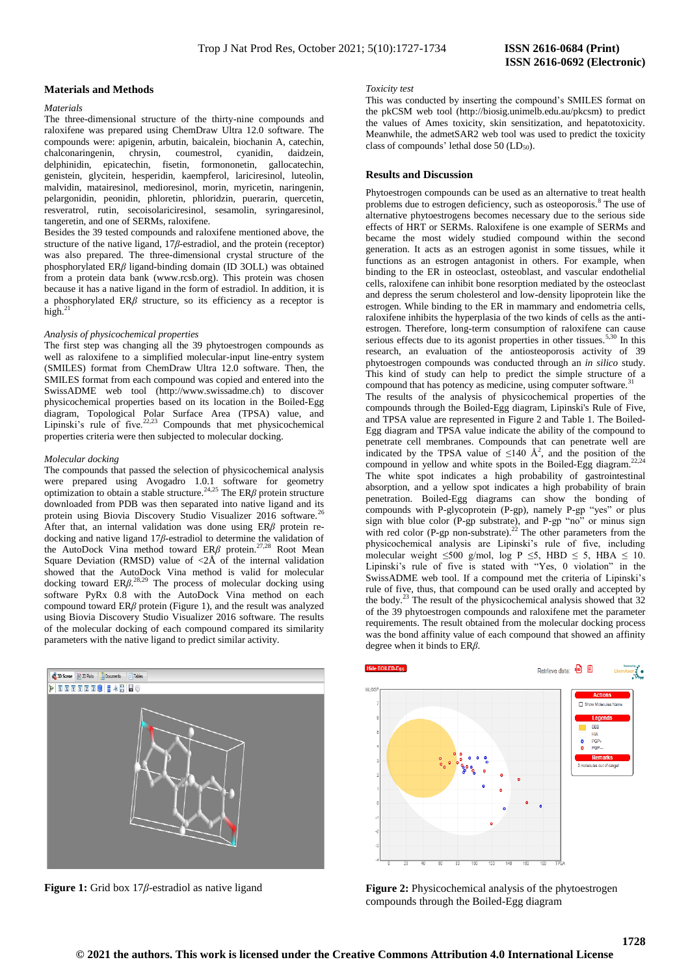### **Materials and Methods**

# *Materials*

The three-dimensional structure of the thirty-nine compounds and raloxifene was prepared using ChemDraw Ultra 12.0 software. The compounds were: apigenin, arbutin, baicalein, biochanin A, catechin, chalconaringenin, chrysin, coumestrol, cyanidin, daidzein, delphinidin, epicatechin, fisetin, formononetin, gallocatechin, genistein, glycitein, hesperidin, kaempferol, lariciresinol, luteolin, malvidin, matairesinol, medioresinol, morin, myricetin, naringenin, pelargonidin, peonidin, phloretin, phloridzin, puerarin, quercetin, resveratrol, rutin, secoisolariciresinol, sesamolin, syringaresinol, tangeretin, and one of SERMs, raloxifene.

Besides the 39 tested compounds and raloxifene mentioned above, the structure of the native ligand, 17*β*-estradiol, and the protein (receptor) was also prepared. The three-dimensional crystal structure of the phosphorylated ER*β* ligand-binding domain (ID 3OLL) was obtained from a protein data bank (www.rcsb.org). This protein was chosen because it has a native ligand in the form of estradiol. In addition, it is a phosphorylated ER*β* structure, so its efficiency as a receptor is high. $^{2}$ 

### *Analysis of physicochemical properties*

The first step was changing all the 39 phytoestrogen compounds as well as raloxifene to a simplified molecular-input line-entry system (SMILES) format from ChemDraw Ultra 12.0 software. Then, the SMILES format from each compound was copied and entered into the SwissADME web tool (http://www.swissadme.ch) to discover physicochemical properties based on its location in the Boiled-Egg diagram, Topological Polar Surface Area (TPSA) value, and Lipinski's rule of five.<sup>22,23</sup> Compounds that met physicochemical properties criteria were then subjected to molecular docking.

### *Molecular docking*

The compounds that passed the selection of physicochemical analysis were prepared using Avogadro 1.0.1 software for geometry optimization to obtain a stable structure.<sup>24,25</sup> The ER $\beta$  protein structure downloaded from PDB was then separated into native ligand and its protein using Biovia Discovery Studio Visualizer 2016 software.<sup>26</sup> After that, an internal validation was done using ER*β* protein redocking and native ligand 17*β*-estradiol to determine the validation of the AutoDock Vina method toward ERβ protein.<sup>27,28</sup> Root Mean Square Deviation (RMSD) value of  $\langle 2\text{\AA}$  of the internal validation showed that the AutoDock Vina method is valid for molecular docking toward  $ER\beta^{.28,29}$  The process of molecular docking using software PyRx 0.8 with the AutoDock Vina method on each compound toward ER*β* protein (Figure 1), and the result was analyzed using Biovia Discovery Studio Visualizer 2016 software. The results of the molecular docking of each compound compared its similarity parameters with the native ligand to predict similar activity.



**Figure 1:** Grid box 17*β*-estradiol as native ligand

# **ISSN 2616-0692 (Electronic)**

#### *Toxicity test*

This was conducted by inserting the compound's SMILES format on the pkCSM web tool (http://biosig.unimelb.edu.au/pkcsm) to predict the values of Ames toxicity, skin sensitization, and hepatotoxicity. Meanwhile, the admetSAR2 web tool was used to predict the toxicity class of compounds' lethal dose  $50$  (LD<sub>50</sub>).

### **Results and Discussion**

Phytoestrogen compounds can be used as an alternative to treat health problems due to estrogen deficiency, such as osteoporosis.<sup>8</sup> The use of alternative phytoestrogens becomes necessary due to the serious side effects of HRT or SERMs. Raloxifene is one example of SERMs and became the most widely studied compound within the second generation. It acts as an estrogen agonist in some tissues, while it functions as an estrogen antagonist in others. For example, when binding to the ER in osteoclast, osteoblast, and vascular endothelial cells, raloxifene can inhibit bone resorption mediated by the osteoclast and depress the serum cholesterol and low-density lipoprotein like the estrogen. While binding to the ER in mammary and endometria cells, raloxifene inhibits the hyperplasia of the two kinds of cells as the antiestrogen. Therefore, long-term consumption of raloxifene can cause serious effects due to its agonist properties in other tissues.<sup>5,30</sup> In this research, an evaluation of the antiosteoporosis activity of 39 phytoestrogen compounds was conducted through an *in silico* study. This kind of study can help to predict the simple structure of a compound that has potency as medicine, using computer software.

The results of the analysis of physicochemical properties of the compounds through the Boiled-Egg diagram, Lipinski's Rule of Five, and TPSA value are represented in Figure 2 and Table 1. The Boiled-Egg diagram and TPSA value indicate the ability of the compound to penetrate cell membranes. Compounds that can penetrate well are indicated by the TPSA value of  $\leq 140 \text{ Å}^2$ , and the position of the compound in yellow and white spots in the Boiled-Egg diagram.<sup>22,24</sup> The white spot indicates a high probability of gastrointestinal absorption, and a yellow spot indicates a high probability of brain penetration. Boiled-Egg diagrams can show the bonding of compounds with P-glycoprotein (P-gp), namely P-gp "yes" or plus sign with blue color (P-gp substrate), and P-gp "no" or minus sign with red color (P-gp non-substrate).<sup>22</sup> The other parameters from the physicochemical analysis are Lipinski's rule of five, including molecular weight  $\leq 500$  g/mol, log P  $\leq 5$ , HBD  $\leq 5$ , HBA  $\leq 10$ . Lipinski's rule of five is stated with "Yes, 0 violation" in the SwissADME web tool. If a compound met the criteria of Lipinski's rule of five, thus, that compound can be used orally and accepted by the body.<sup>23</sup> The result of the physicochemical analysis showed that 32 of the 39 phytoestrogen compounds and raloxifene met the parameter requirements. The result obtained from the molecular docking process was the bond affinity value of each compound that showed an affinity degree when it binds to ER*β*.



**Figure 2:** Physicochemical analysis of the phytoestrogen compounds through the Boiled-Egg diagram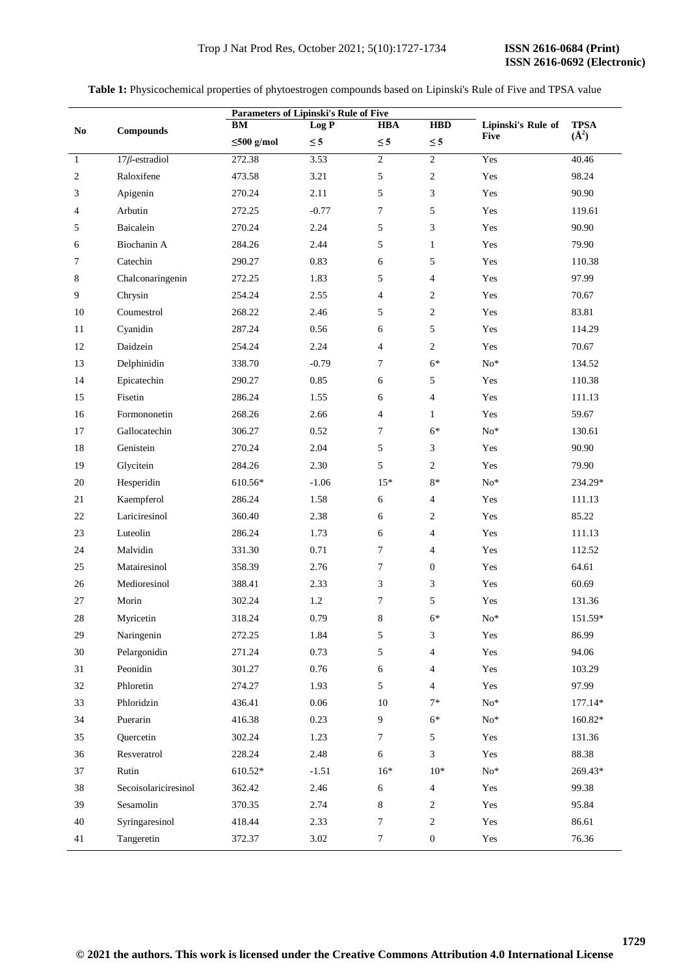**Table 1:** Physicochemical properties of phytoestrogen compounds based on Lipinski's Rule of Five and TPSA value

|                        | <b>Compounds</b>            | <b>Parameters of Lipinski's Rule of Five</b><br><b>HBD</b><br>Log P<br><b>HBA</b><br>BM |          |                  |                  | Lipinski's Rule of |                                   |
|------------------------|-----------------------------|-----------------------------------------------------------------------------------------|----------|------------------|------------------|--------------------|-----------------------------------|
| $\mathbf{N}\mathbf{o}$ |                             | $\leq 500$ g/mol                                                                        | $\leq 5$ | $\leq 5$         | $\leq 5$         | <b>Five</b>        | <b>TPSA</b><br>$(\mathring{A}^2)$ |
| $\mathbf{1}$           | $17\beta$ -estradiol        | 272.38                                                                                  | 3.53     | $\boldsymbol{2}$ | $\overline{2}$   | Yes                | 40.46                             |
| $\boldsymbol{2}$       | Raloxifene                  | 473.58                                                                                  | 3.21     | 5                | $\boldsymbol{2}$ | Yes                | 98.24                             |
| 3                      | Apigenin                    | 270.24                                                                                  | 2.11     | 5                | 3                | Yes                | 90.90                             |
| $\overline{4}$         | Arbutin                     | 272.25                                                                                  | $-0.77$  | $\tau$           | 5                | Yes                | 119.61                            |
| 5                      | Baicalein                   | 270.24                                                                                  | 2.24     | 5                | 3                | Yes                | 90.90                             |
| 6                      | Biochanin A                 | 284.26                                                                                  | 2.44     | 5                | $\mathbf{1}$     | Yes                | 79.90                             |
| 7                      | Catechin                    | 290.27                                                                                  | 0.83     | 6                | 5                | Yes                | 110.38                            |
| 8                      | Chalconaringenin            | 272.25                                                                                  | 1.83     | 5                | 4                | Yes                | 97.99                             |
| 9                      | Chrysin                     | 254.24                                                                                  | 2.55     | $\overline{4}$   | $\overline{c}$   | Yes                | 70.67                             |
| 10                     | Coumestrol                  | 268.22                                                                                  | 2.46     | 5                | 2                | Yes                | 83.81                             |
| 11                     | Cyanidin                    | 287.24                                                                                  | 0.56     | 6                | 5                | Yes                | 114.29                            |
| 12                     | Daidzein                    | 254.24                                                                                  | 2.24     | $\overline{4}$   | $\overline{2}$   | Yes                | 70.67                             |
| 13                     | Delphinidin                 | 338.70                                                                                  | $-0.79$  | $\tau$           | $6*$             | $No*$              | 134.52                            |
| 14                     | Epicatechin                 | 290.27                                                                                  | 0.85     | 6                | 5                | Yes                | 110.38                            |
| 15                     | Fisetin                     | 286.24                                                                                  | 1.55     | 6                | 4                | Yes                | 111.13                            |
| 16                     | Formononetin                | 268.26                                                                                  | 2.66     | $\overline{4}$   | $\mathbf{1}$     | Yes                | 59.67                             |
| 17                     | Gallocatechin               | 306.27                                                                                  | 0.52     | 7                | $6*$             | $No*$              | 130.61                            |
| 18                     | Genistein                   | 270.24                                                                                  | 2.04     | 5                | 3                | Yes                | 90.90                             |
| 19                     | Glycitein                   | 284.26                                                                                  | 2.30     | 5                | $\overline{c}$   | Yes                | 79.90                             |
| $20\,$                 | Hesperidin                  | 610.56*                                                                                 | $-1.06$  | $15*$            | $8\,^*$          | $No*$              | 234.29*                           |
| 21                     |                             | 286.24                                                                                  |          |                  |                  |                    |                                   |
| 22                     | Kaempferol<br>Lariciresinol |                                                                                         | 1.58     | 6                | $\overline{4}$   | Yes<br>Yes         | 111.13<br>85.22                   |
| 23                     | Luteolin                    | 360.40<br>286.24                                                                        | 2.38     | 6                | $\overline{c}$   |                    |                                   |
|                        |                             |                                                                                         | 1.73     | 6                | $\overline{4}$   | Yes                | 111.13                            |
| 24                     | Malvidin                    | 331.30                                                                                  | 0.71     | 7                | $\overline{4}$   | Yes                | 112.52                            |
| 25                     | Matairesinol                | 358.39                                                                                  | 2.76     | 7                | $\mathbf{0}$     | Yes                | 64.61                             |
| 26                     | Medioresinol                | 388.41                                                                                  | 2.33     | 3                | 3                | Yes                | 60.69                             |
| 27                     | Morin                       | 302.24                                                                                  | 1.2      | $\tau$           | 5                | Yes                | 131.36                            |
| 28                     | Myricetin                   | 318.24                                                                                  | 0.79     | 8                | $6*$             | $No*$              | 151.59*                           |
| 29                     | Naringenin                  | 272.25                                                                                  | 1.84     | 5                | 3                | Yes                | 86.99                             |
| 30                     | Pelargonidin                | 271.24                                                                                  | 0.73     | 5                | 4                | Yes                | 94.06                             |
| 31                     | Peonidin                    | 301.27                                                                                  | 0.76     | 6                | 4                | Yes                | 103.29                            |
| 32                     | Phloretin                   | 274.27                                                                                  | 1.93     | 5                | $\overline{4}$   | Yes                | 97.99                             |
| 33                     | Phloridzin                  | 436.41                                                                                  | 0.06     | 10               | $7*$             | $\mathrm{No}^*$    | 177.14*                           |
| 34                     | Puerarin                    | 416.38                                                                                  | 0.23     | 9                | $6*$             | $No*$              | 160.82*                           |
| 35                     | Quercetin                   | 302.24                                                                                  | 1.23     | $\tau$           | 5                | Yes                | 131.36                            |
| 36                     | Resveratrol                 | 228.24                                                                                  | 2.48     | 6                | 3                | Yes                | 88.38                             |
| 37                     | Rutin                       | 610.52*                                                                                 | $-1.51$  | $16*$            | $10*$            | $No*$              | 269.43*                           |
| 38                     | Secoisolariciresinol        | 362.42                                                                                  | 2.46     | 6                | $\overline{4}$   | Yes                | 99.38                             |
| 39                     | Sesamolin                   | 370.35                                                                                  | 2.74     | $\,8\,$          | $\sqrt{2}$       | Yes                | 95.84                             |
| 40                     | Syringaresinol              | 418.44                                                                                  | 2.33     | $\tau$           | $\sqrt{2}$       | Yes                | 86.61                             |
| 41                     | Tangeretin                  | 372.37                                                                                  | 3.02     | $\tau$           | $\boldsymbol{0}$ | Yes                | 76.36                             |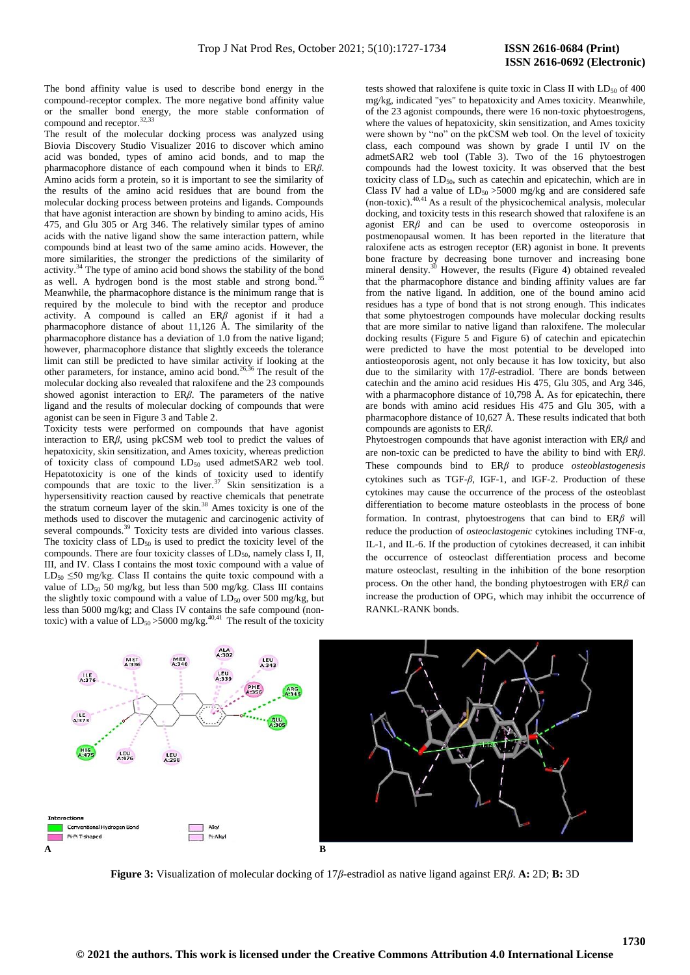The bond affinity value is used to describe bond energy in the compound-receptor complex. The more negative bond affinity value or the smaller bond energy, the more stable conformation of compound and receptor.<sup>32,33</sup>

The result of the molecular docking process was analyzed using Biovia Discovery Studio Visualizer 2016 to discover which amino acid was bonded, types of amino acid bonds, and to map the pharmacophore distance of each compound when it binds to ER*β*. Amino acids form a protein, so it is important to see the similarity of the results of the amino acid residues that are bound from the molecular docking process between proteins and ligands. Compounds that have agonist interaction are shown by binding to amino acids, His 475, and Glu 305 or Arg 346. The relatively similar types of amino acids with the native ligand show the same interaction pattern, while compounds bind at least two of the same amino acids. However, the more similarities, the stronger the predictions of the similarity of activity.<sup>34</sup> The type of amino acid bond shows the stability of the bond as well. A hydrogen bond is the most stable and strong bond.<sup>35</sup> Meanwhile, the pharmacophore distance is the minimum range that is required by the molecule to bind with the receptor and produce activity. A compound is called an ER*β* agonist if it had a pharmacophore distance of about 11,126 Å. The similarity of the pharmacophore distance has a deviation of 1.0 from the native ligand; however, pharmacophore distance that slightly exceeds the tolerance limit can still be predicted to have similar activity if looking at the other parameters, for instance, amino acid bond.<sup>26,36</sup> The result of the molecular docking also revealed that raloxifene and the 23 compounds showed agonist interaction to ER*β*. The parameters of the native ligand and the results of molecular docking of compounds that were agonist can be seen in Figure 3 and Table 2.

Toxicity tests were performed on compounds that have agonist interaction to ER*β*, using pkCSM web tool to predict the values of hepatoxicity, skin sensitization, and Ames toxicity, whereas prediction of toxicity class of compound  $LD_{50}$  used admetSAR2 web tool. Hepatotoxicity is one of the kinds of toxicity used to identify compounds that are toxic to the liver. $37$  Skin sensitization is a hypersensitivity reaction caused by reactive chemicals that penetrate the stratum corneum layer of the skin.<sup>38</sup> Ames toxicity is one of the methods used to discover the mutagenic and carcinogenic activity of several compounds.<sup>39</sup> Toxicity tests are divided into various classes. The toxicity class of  $LD_{50}$  is used to predict the toxicity level of the compounds. There are four toxicity classes of  $LD_{50}$ , namely class I, II, III, and IV. Class I contains the most toxic compound with a value of LD<sub>50</sub>  $\leq$ 50 mg/kg. Class II contains the quite toxic compound with a value of  $LD_{50}$  50 mg/kg, but less than 500 mg/kg. Class III contains the slightly toxic compound with a value of  $LD_{50}$  over 500 mg/kg, but less than 5000 mg/kg; and Class IV contains the safe compound (nontoxic) with a value of  $LD_{50} > 5000$  mg/kg.<sup>40,41</sup> The result of the toxicity

tests showed that raloxifene is quite toxic in Class II with  $LD_{50}$  of 400 mg/kg, indicated "yes" to hepatoxicity and Ames toxicity. Meanwhile, of the 23 agonist compounds, there were 16 non-toxic phytoestrogens, where the values of hepatoxicity, skin sensitization, and Ames toxicity were shown by "no" on the pkCSM web tool. On the level of toxicity class, each compound was shown by grade I until IV on the admetSAR2 web tool (Table 3). Two of the 16 phytoestrogen compounds had the lowest toxicity. It was observed that the best toxicity class of  $LD_{50}$ , such as catechin and epicatechin, which are in Class IV had a value of  $LD_{50} > 5000$  mg/kg and are considered safe (non-toxic). $40,41$  As a result of the physicochemical analysis, molecular docking, and toxicity tests in this research showed that raloxifene is an agonist ER*β* and can be used to overcome osteoporosis in postmenopausal women. It has been reported in the literature that raloxifene acts as estrogen receptor (ER) agonist in bone. It prevents bone fracture by decreasing bone turnover and increasing bone mineral density. $30$  However, the results (Figure 4) obtained revealed that the pharmacophore distance and binding affinity values are far from the native ligand. In addition, one of the bound amino acid residues has a type of bond that is not strong enough. This indicates that some phytoestrogen compounds have molecular docking results that are more similar to native ligand than raloxifene. The molecular docking results (Figure 5 and Figure 6) of catechin and epicatechin were predicted to have the most potential to be developed into antiosteoporosis agent, not only because it has low toxicity, but also due to the similarity with 17*β*-estradiol. There are bonds between catechin and the amino acid residues His 475, Glu 305, and Arg 346, with a pharmacophore distance of 10.798 Å. As for epicatechin, there are bonds with amino acid residues His 475 and Glu 305, with a pharmacophore distance of 10,627 Å. These results indicated that both compounds are agonists to ER*β*.

Phytoestrogen compounds that have agonist interaction with ER*β* and are non-toxic can be predicted to have the ability to bind with ER*β*. These compounds bind to ER*β* to produce *osteoblastogenesis* cytokines such as TGF-*β*, IGF-1, and IGF-2. Production of these cytokines may cause the occurrence of the process of the osteoblast differentiation to become mature osteoblasts in the process of bone formation. In contrast, phytoestrogens that can bind to ER*β* will reduce the production of *osteoclastogenic* cytokines including TNF-α, IL-1, and IL-6. If the production of cytokines decreased, it can inhibit the occurrence of osteoclast differentiation process and become mature osteoclast, resulting in the inhibition of the bone resorption process. On the other hand, the bonding phytoestrogen with ER*β* can increase the production of OPG, which may inhibit the occurrence of RANKL-RANK bonds.



**Figure 3:** Visualization of molecular docking of 17*β*-estradiol as native ligand against ER*β*. **A:** 2D; **B:** 3D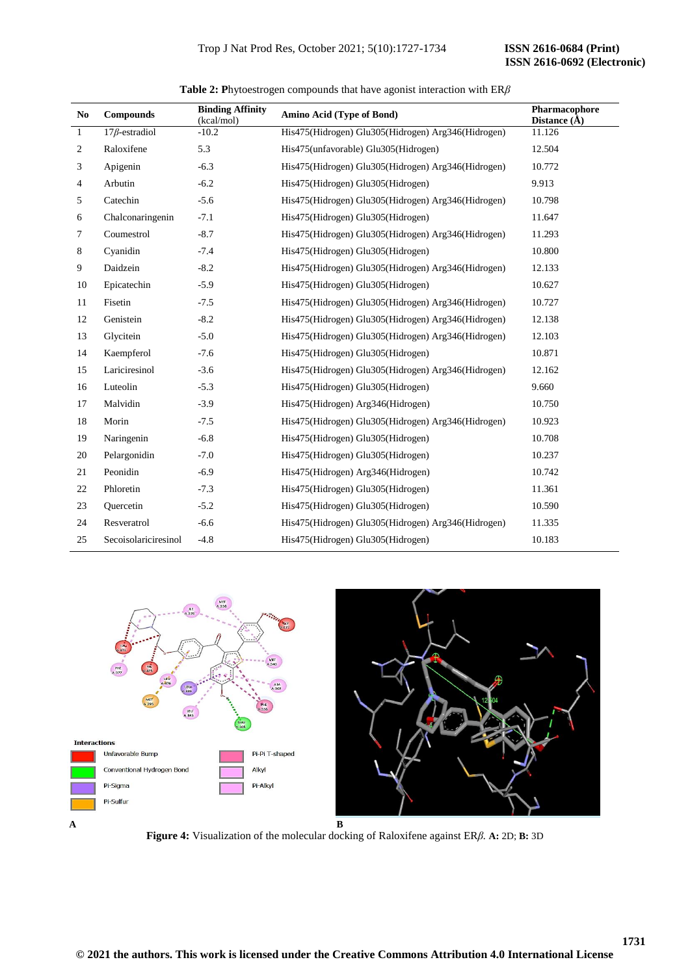| N <sub>0</sub> | <b>Compounds</b>     | <b>Binding Affinity</b><br>(kcal/mol) | Amino Acid (Type of Bond)                          | Pharmacophore<br>Distance $(\AA)$ |
|----------------|----------------------|---------------------------------------|----------------------------------------------------|-----------------------------------|
| $\mathbf{1}$   | $17\beta$ -estradiol | $-10.2$                               | His475(Hidrogen) Glu305(Hidrogen) Arg346(Hidrogen) | 11.126                            |
| 2              | Raloxifene           | 5.3                                   | His475(unfavorable) Glu305(Hidrogen)               | 12.504                            |
| 3              | Apigenin             | $-6.3$                                | His475(Hidrogen) Glu305(Hidrogen) Arg346(Hidrogen) | 10.772                            |
| 4              | Arbutin              | $-6.2$                                | His475(Hidrogen) Glu305(Hidrogen)                  | 9.913                             |
| 5              | Catechin             | $-5.6$                                | His475(Hidrogen) Glu305(Hidrogen) Arg346(Hidrogen) | 10.798                            |
| 6              | Chalconaringenin     | $-7.1$                                | His475(Hidrogen) Glu305(Hidrogen)                  | 11.647                            |
| 7              | Coumestrol           | $-8.7$                                | His475(Hidrogen) Glu305(Hidrogen) Arg346(Hidrogen) | 11.293                            |
| 8              | Cyanidin             | $-7.4$                                | His475(Hidrogen) Glu305(Hidrogen)                  | 10.800                            |
| 9              | Daidzein             | $-8.2$                                | His475(Hidrogen) Glu305(Hidrogen) Arg346(Hidrogen) | 12.133                            |
| 10             | Epicatechin          | $-5.9$                                | His475(Hidrogen) Glu305(Hidrogen)                  | 10.627                            |
| 11             | Fisetin              | $-7.5$                                | His475(Hidrogen) Glu305(Hidrogen) Arg346(Hidrogen) | 10.727                            |
| 12             | Genistein            | $-8.2$                                | His475(Hidrogen) Glu305(Hidrogen) Arg346(Hidrogen) | 12.138                            |
| 13             | Glycitein            | $-5.0$                                | His475(Hidrogen) Glu305(Hidrogen) Arg346(Hidrogen) | 12.103                            |
| 14             | Kaempferol           | $-7.6$                                | His475(Hidrogen) Glu305(Hidrogen)                  | 10.871                            |
| 15             | Lariciresinol        | $-3.6$                                | His475(Hidrogen) Glu305(Hidrogen) Arg346(Hidrogen) | 12.162                            |
| 16             | Luteolin             | $-5.3$                                | His475(Hidrogen) Glu305(Hidrogen)                  | 9.660                             |
| 17             | Malvidin             | $-3.9$                                | His475(Hidrogen) Arg346(Hidrogen)                  | 10.750                            |
| 18             | Morin                | $-7.5$                                | His475(Hidrogen) Glu305(Hidrogen) Arg346(Hidrogen) | 10.923                            |
| 19             | Naringenin           | $-6.8$                                | His475(Hidrogen) Glu305(Hidrogen)                  | 10.708                            |
| 20             | Pelargonidin         | $-7.0$                                | His475(Hidrogen) Glu305(Hidrogen)                  | 10.237                            |
| 21             | Peonidin             | $-6.9$                                | His475(Hidrogen) Arg346(Hidrogen)                  | 10.742                            |
| 22             | Phloretin            | $-7.3$                                | His475(Hidrogen) Glu305(Hidrogen)                  | 11.361                            |
| 23             | Ouercetin            | $-5.2$                                | His475(Hidrogen) Glu305(Hidrogen)                  | 10.590                            |
| 24             | Resveratrol          | $-6.6$                                | His475(Hidrogen) Glu305(Hidrogen) Arg346(Hidrogen) | 11.335                            |
| 25             | Secoisolariciresinol | $-4.8$                                | His475(Hidrogen) Glu305(Hidrogen)                  | 10.183                            |

**Table 2: P**hytoestrogen compounds that have agonist interaction with ER*β*



**Figure 4:** Visualization of the molecular docking of Raloxifene against ER*β.* **A:** 2D; **B:** 3D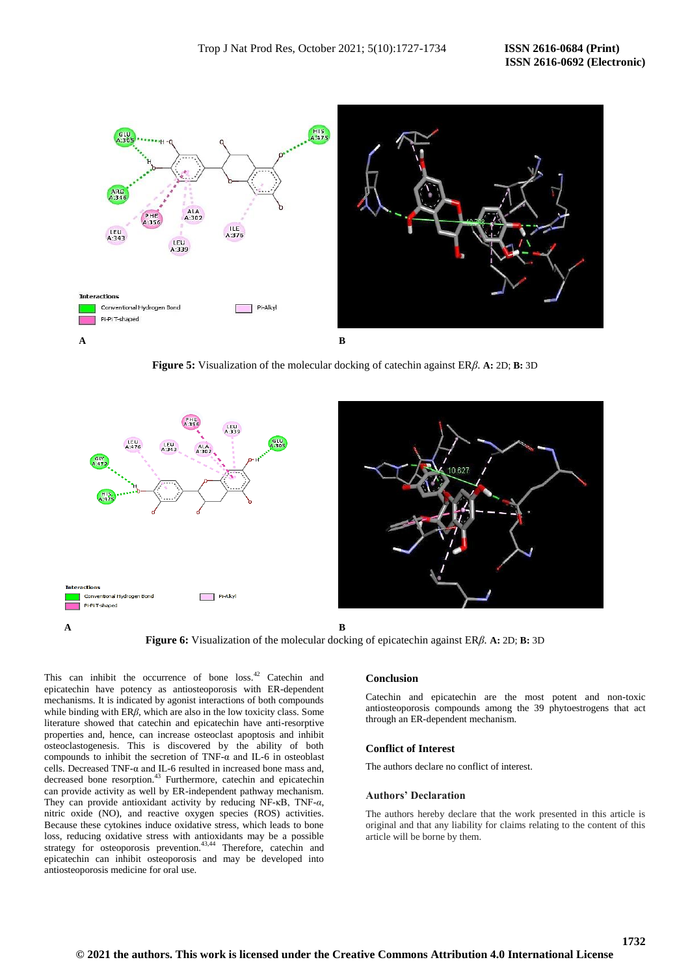

**Figure 5:** Visualization of the molecular docking of catechin against ER*β*. **A:** 2D; **B:** 3D





This can inhibit the occurrence of bone loss.<sup>42</sup> Catechin and epicatechin have potency as antiosteoporosis with ER-dependent mechanisms. It is indicated by agonist interactions of both compounds while binding with ER*β*, which are also in the low toxicity class. Some literature showed that catechin and epicatechin have anti-resorptive properties and, hence, can increase osteoclast apoptosis and inhibit osteoclastogenesis. This is discovered by the ability of both compounds to inhibit the secretion of TNF- $\alpha$  and IL-6 in osteoblast cells. Decreased TNF-α and IL-6 resulted in increased bone mass and, decreased bone resorption.<sup>43</sup> Furthermore, catechin and epicatechin can provide activity as well by ER-independent pathway mechanism. They can provide antioxidant activity by reducing NF-κB, TNF-*α*, nitric oxide (NO), and reactive oxygen species (ROS) activities. Because these cytokines induce oxidative stress, which leads to bone loss, reducing oxidative stress with antioxidants may be a possible strategy for osteoporosis prevention.<sup>43,44</sup> Therefore, catechin and epicatechin can inhibit osteoporosis and may be developed into antiosteoporosis medicine for oral use.

# **Conclusion**

Catechin and epicatechin are the most potent and non-toxic antiosteoporosis compounds among the 39 phytoestrogens that act through an ER-dependent mechanism.

# **Conflict of Interest**

The authors declare no conflict of interest.

# **Authors' Declaration**

The authors hereby declare that the work presented in this article is original and that any liability for claims relating to the content of this article will be borne by them.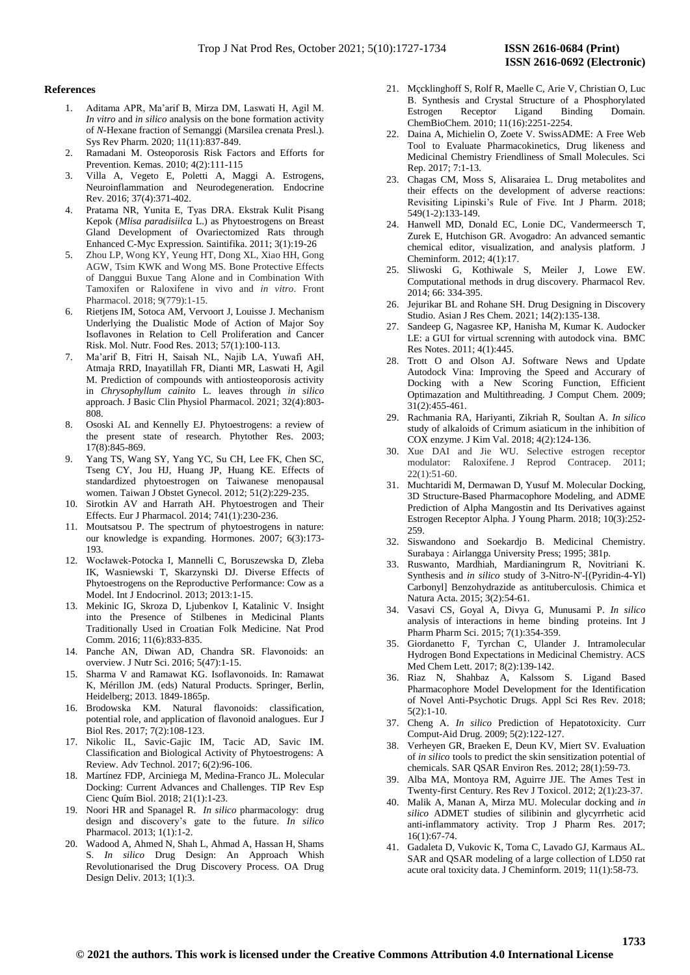### **References**

- 1. Aditama APR, Ma'arif B, Mirza DM, Laswati H, Agil M. *In vitro* and *in silico* analysis on the bone formation activity of *N*-Hexane fraction of Semanggi (Marsilea crenata Presl.). Sys Rev Pharm. 2020; 11(11):837-849.
- 2. Ramadani M. Osteoporosis Risk Factors and Efforts for Prevention. Kemas. 2010; 4(2):111-115
- 3. Villa A, Vegeto E, Poletti A, Maggi A. Estrogens, Neuroinflammation and Neurodegeneration. Endocrine Rev. 2016; 37(4):371-402.
- 4. Pratama NR, Yunita E, Tyas DRA. Ekstrak Kulit Pisang Kepok (*Mlisa paradisiilca* L.) as Phytoestrogens on Breast Gland Development of Ovariectomized Rats through Enhanced C-Myc Expression. Saintifika. 2011; 3(1):19-26
- 5. Zhou LP, Wong KY, Yeung HT, Dong XL, Xiao HH, Gong AGW, Tsim KWK and Wong MS. Bone Protective Effects of Danggui Buxue Tang Alone and in Combination With Tamoxifen or Raloxifene in vivo and *in vitro*. Front Pharmacol. 2018; 9(779):1-15.
- 6. Rietjens IM, Sotoca AM, Vervoort J, Louisse J. Mechanism Underlying the Dualistic Mode of Action of Major Soy Isoflavones in Relation to Cell Proliferation and Cancer Risk. Mol. Nutr. Food Res. 2013; 57(1):100-113.
- 7. Ma'arif B, Fitri H, Saisah NL, Najib LA, Yuwafi AH, Atmaja RRD, Inayatillah FR, Dianti MR, Laswati H, Agil M. Prediction of compounds with antiosteoporosis activity in *Chrysophyllum cainito* L. leaves through *in silico* approach. J Basic Clin Physiol Pharmacol. 2021; 32(4):803- 808.
- 8. Ososki AL and Kennelly EJ. Phytoestrogens: a review of the present state of research. Phytother Res. 2003; 17(8):845-869.
- 9. Yang TS, Wang SY, Yang YC, Su CH, Lee FK, Chen SC, Tseng CY, Jou HJ, Huang JP, Huang KE. Effects of standardized phytoestrogen on Taiwanese menopausal women. Taiwan J Obstet Gynecol. 2012; 51(2):229-235.
- 10. Sirotkin AV and Harrath AH. Phytoestrogen and Their Effects. Eur J Pharmacol. 2014; 741(1):230-236.
- 11. Moutsatsou P. The spectrum of phytoestrogens in nature: our knowledge is expanding. Hormones. 2007; 6(3):173- 193.
- 12. Wocławek-Potocka I, Mannelli C, Boruszewska D, Zleba IK, Wasniewski T, Skarzynski DJ. Diverse Effects of Phytoestrogens on the Reproductive Performance: Cow as a Model. Int J Endocrinol. 2013; 2013:1-15.
- 13. Mekinic IG, Skroza D, Ljubenkov I, Katalinic V. Insight into the Presence of Stilbenes in Medicinal Plants Traditionally Used in Croatian Folk Medicine. Nat Prod Comm. 2016; 11(6):833-835.
- 14. Panche AN, Diwan AD, Chandra SR. Flavonoids: an overview. J Nutr Sci. 2016; 5(47):1-15.
- 15. Sharma V and Ramawat KG. Isoflavonoids. In: Ramawat K, Mérillon JM. (eds) Natural Products. Springer, Berlin, Heidelberg; 2013. 1849-1865p.
- 16. Brodowska KM. Natural flavonoids: classification, potential role, and application of flavonoid analogues. Eur J Biol Res. 2017; 7(2):108-123.
- 17. Nikolic IL, Savic-Gajic IM, Tacic AD, Savic IM. Classification and Biological Activity of Phytoestrogens: A Review. Adv Technol. 2017; 6(2):96-106.
- 18. Martínez FDP, Arciniega M, Medina-Franco JL. Molecular Docking: Current Advances and Challenges. TIP Rev Esp Cienc Quím Biol. 2018; 21(1):1-23.
- 19. Noori HR and Spanagel R. *In silico* pharmacology: drug design and discovery's gate to the future. *In silico* Pharmacol. 2013; 1(1):1-2.
- 20. Wadood A, Ahmed N, Shah L, Ahmad A, Hassan H, Shams S. *In silico* Drug Design: An Approach Whish Revolutionarised the Drug Discovery Process. OA Drug Design Deliv. 2013; 1(1):3.
- 21. Mçcklinghoff S, Rolf R, Maelle C, Arie V, Christian O, Luc B. Synthesis and Crystal Structure of a Phosphorylated Estrogen Receptor Ligand Binding Domain. ChemBioChem. 2010; 11(16):2251-2254.
- 22. Daina A, Michielin O, Zoete V. SwissADME: A Free Web Tool to Evaluate Pharmacokinetics, Drug likeness and Medicinal Chemistry Friendliness of Small Molecules. Sci Rep. 2017; 7:1-13.
- 23. Chagas CM, Moss S, Alisaraiea L. Drug metabolites and their effects on the development of adverse reactions: Revisiting Lipinski's Rule of Five. Int J Pharm. 2018; 549(1-2):133-149.
- 24. Hanwell MD, Donald EC, Lonie DC, Vandermeersch T, Zurek E, Hutchison GR. Avogadro: An advanced semantic chemical editor, visualization, and analysis platform. J Cheminform. 2012; 4(1):17.
- 25. Sliwoski G, Kothiwale S, Meiler J, Lowe EW. Computational methods in drug discovery. Pharmacol Rev. 2014; 66: 334-395.
- 26. Jejurikar BL and Rohane SH. Drug Designing in Discovery Studio. Asian J Res Chem. 2021; 14(2):135-138.
- 27. Sandeep G, Nagasree KP, Hanisha M, Kumar K. Audocker LE: a GUI for virtual screnning with autodock vina. BMC Res Notes. 2011; 4(1):445.
- 28. Trott O and Olson AJ. Software News and Update Autodock Vina: Improving the Speed and Accurary of Docking with a New Scoring Function, Efficient Optimazation and Multithreading. J Comput Chem*.* 2009; 31(2):455-461.
- 29. Rachmania RA, Hariyanti, Zikriah R, Soultan A. *In silico* study of alkaloids of Crimum asiaticum in the inhibition of COX enzyme. J Kim Val. 2018; 4(2):124-136.
- 30. Xue DAI and Jie WU. Selective estrogen receptor modulator: Raloxifene. J Reprod Contracep. 2011; 22(1):51-60.
- 31. Muchtaridi M, Dermawan D, Yusuf M. Molecular Docking, 3D Structure-Based Pharmacophore Modeling, and ADME Prediction of Alpha Mangostin and Its Derivatives against Estrogen Receptor Alpha. J Young Pharm. 2018; 10(3):252- 259.
- 32. Siswandono and Soekardjo B. Medicinal Chemistry. Surabaya : Airlangga University Press; 1995; 381p.
- 33. Ruswanto, Mardhiah, Mardianingrum R, Novitriani K. Synthesis and *in silico* study of 3-Nitro-N'-[(Pyridin-4-Yl) Carbonyl] Benzohydrazide as antituberculosis. Chimica et Natura Acta. 2015; 3(2):54-61.
- 34. Vasavi CS, Goyal A, Divya G, Munusami P. *In silico* analysis of interactions in heme binding proteins. Int J Pharm Pharm Sci. 2015; 7(1):354-359.
- 35. Giordanetto F, Tyrchan C, Ulander J. Intramolecular Hydrogen Bond Expectations in Medicinal Chemistry. ACS Med Chem Lett. 2017; 8(2):139-142.
- 36. Riaz N, Shahbaz A, Kalssom S. Ligand Based Pharmacophore Model Development for the Identification of Novel Anti-Psychotic Drugs. Appl Sci Res Rev*.* 2018;  $5(2):1-10.$
- 37. Cheng A. *In silico* Prediction of Hepatotoxicity. Curr Comput-Aid Drug. 2009; 5(2):122-127.
- 38. Verheyen GR, Braeken E, Deun KV, Miert SV. Evaluation of *in silico* tools to predict the skin sensitization potential of chemicals. SAR QSAR Environ Res. 2012; 28(1):59-73.
- 39. Alba MA, Montoya RM, Aguirre JJE. The Ames Test in Twenty-first Century. Res Rev J Toxicol. 2012; 2(1):23-37.
- 40. Malik A, Manan A, Mirza MU. Molecular docking and *in silico* ADMET studies of silibinin and glycyrrhetic acid anti-inflammatory activity. Trop J Pharm Res. 2017; 16(1):67-74.
- 41. Gadaleta D, Vukovic K, Toma C, Lavado GJ, Karmaus AL. SAR and QSAR modeling of a large collection of LD50 rat acute oral toxicity data. J Cheminform. 2019; 11(1):58-73.